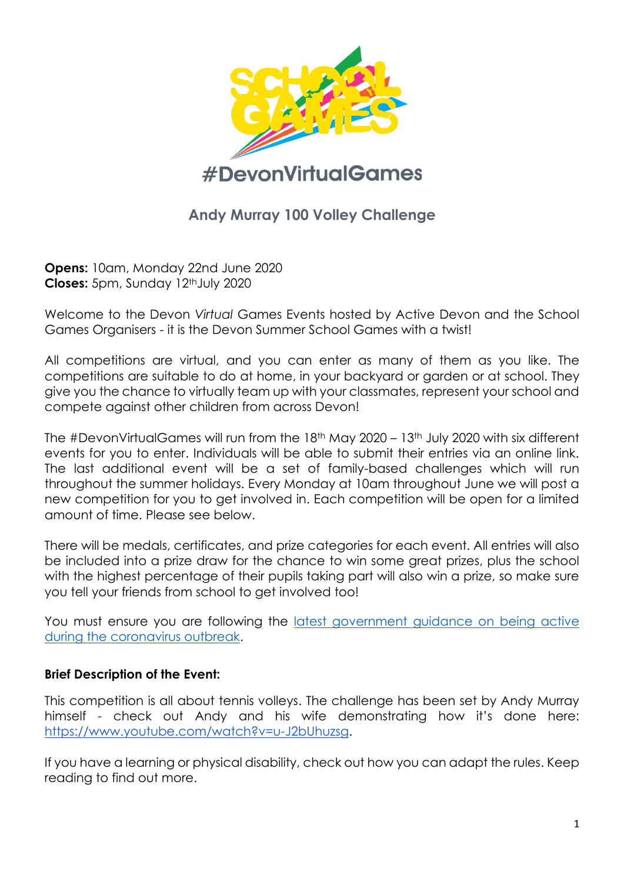

# **Andy Murray 100 Volley Challenge**

**Opens:** 10am, Monday 22nd June 2020 **Closes:** 5pm, Sunday 12<sup>th</sup> July 2020

Welcome to the Devon *Virtual* Games Events hosted by Active Devon and the School Games Organisers - it is the Devon Summer School Games with a twist!

All competitions are virtual, and you can enter as many of them as you like. The competitions are suitable to do at home, in your backyard or garden or at school. They give you the chance to virtually team up with your classmates, represent your school and compete against other children from across Devon!

The #DevonVirtualGames will run from the 18th May 2020 – 13th July 2020 with six different events for you to enter. Individuals will be able to submit their entries via an online link. The last additional event will be a set of family-based challenges which will run throughout the summer holidays. Every Monday at 10am throughout June we will post a new competition for you to get involved in. Each competition will be open for a limited amount of time. Please see below.

There will be medals, certificates, and prize categories for each event. All entries will also be included into a prize draw for the chance to win some great prizes, plus the school with the highest percentage of their pupils taking part will also win a prize, so make sure you tell your friends from school to get involved too!

You must ensure you are following the [latest government guidance on being active](https://www.activedevon.org/latest-government-guidance-on-being-active-during-the-coronavirus-outbreak/)  [during the coronavirus outbreak.](https://www.activedevon.org/latest-government-guidance-on-being-active-during-the-coronavirus-outbreak/)

## **Brief Description of the Event:**

This competition is all about tennis volleys. The challenge has been set by Andy Murray himself - check out Andy and his wife demonstrating how it's done here: [https://www.youtube.com/watch?v=u-J2bUhuzsg.](https://www.youtube.com/watch?v=u-J2bUhuzsg)

If you have a learning or physical disability, check out how you can adapt the rules. Keep reading to find out more.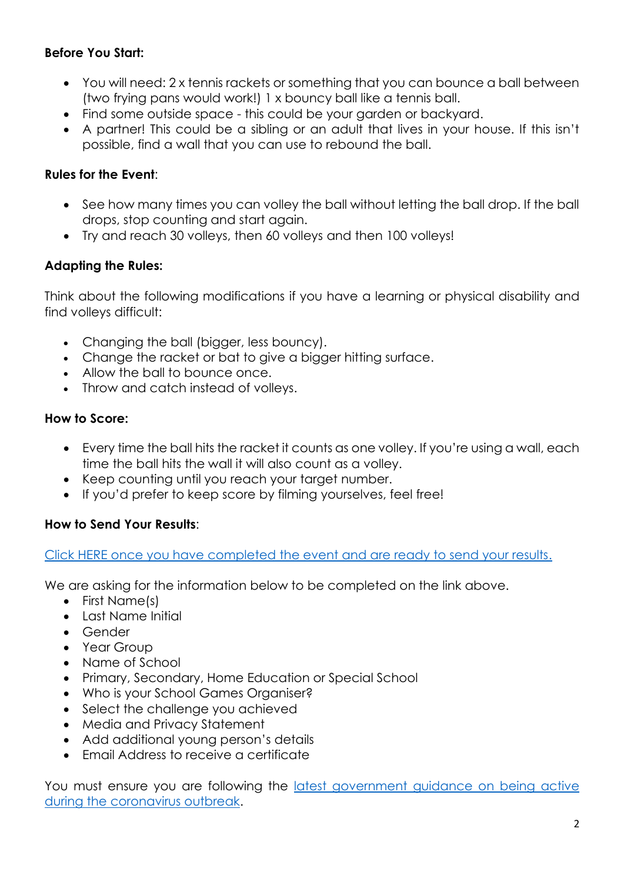# **Before You Start:**

- You will need: 2 x tennis rackets or something that you can bounce a ball between (two frying pans would work!) 1 x bouncy ball like a tennis ball.
- Find some outside space this could be your aarden or backyard.
- A partner! This could be a sibling or an adult that lives in your house. If this isn't possible, find a wall that you can use to rebound the ball.

# **Rules for the Event**:

- See how many times you can volley the ball without letting the ball drop. If the ball drops, stop counting and start again.
- Try and reach 30 volleys, then 60 volleys and then 100 volleys!

## **Adapting the Rules:**

Think about the following modifications if you have a learning or physical disability and find volleys difficult:

- Changing the ball (bigger, less bouncy).
- Change the racket or bat to give a bigger hitting surface.
- Allow the ball to bounce once.
- Throw and catch instead of volleys.

#### **How to Score:**

- Every time the ball hits the racket it counts as one volley. If you're using a wall, each time the ball hits the wall it will also count as a volley.
- Keep counting until you reach your target number.
- If you'd prefer to keep score by filming yourselves, feel free!

## **How to Send Your Results**:

[Click HERE once you have completed the event and are ready to send your results.](https://www.surveymonkey.co.uk/r/AndyMurray100VolleyChalleng)

We are asking for the information below to be completed on the link above.

- First Name(s)
- Last Name Initial
- Gender
- Year Group
- Name of School
- Primary, Secondary, Home Education or Special School
- Who is your School Games Organiser?
- Select the challenge you achieved
- Media and Privacy Statement
- Add additional young person's details
- Email Address to receive a certificate

You must ensure you are following the [latest government guidance on being active](https://www.activedevon.org/latest-government-guidance-on-being-active-during-the-coronavirus-outbreak/)  [during the coronavirus outbreak.](https://www.activedevon.org/latest-government-guidance-on-being-active-during-the-coronavirus-outbreak/)